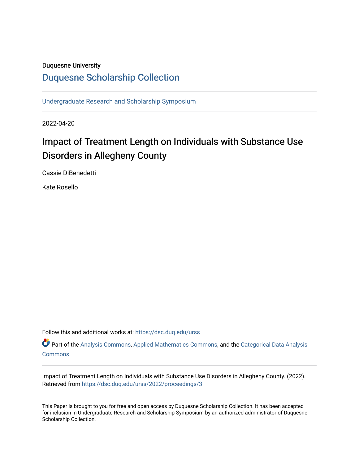# Duquesne University

# [Duquesne Scholarship Collection](https://dsc.duq.edu/)

[Undergraduate Research and Scholarship Symposium](https://dsc.duq.edu/urss)

2022-04-20

# Impact of Treatment Length on Individuals with Substance Use Disorders in Allegheny County

Cassie DiBenedetti

Kate Rosello

Follow this and additional works at: [https://dsc.duq.edu/urss](https://dsc.duq.edu/urss?utm_source=dsc.duq.edu%2Furss%2F2022%2Fproceedings%2F3&utm_medium=PDF&utm_campaign=PDFCoverPages)

Part of the [Analysis Commons](https://network.bepress.com/hgg/discipline/177?utm_source=dsc.duq.edu%2Furss%2F2022%2Fproceedings%2F3&utm_medium=PDF&utm_campaign=PDFCoverPages), [Applied Mathematics Commons,](https://network.bepress.com/hgg/discipline/115?utm_source=dsc.duq.edu%2Furss%2F2022%2Fproceedings%2F3&utm_medium=PDF&utm_campaign=PDFCoverPages) and the [Categorical Data Analysis](https://network.bepress.com/hgg/discipline/817?utm_source=dsc.duq.edu%2Furss%2F2022%2Fproceedings%2F3&utm_medium=PDF&utm_campaign=PDFCoverPages)  **[Commons](https://network.bepress.com/hgg/discipline/817?utm_source=dsc.duq.edu%2Furss%2F2022%2Fproceedings%2F3&utm_medium=PDF&utm_campaign=PDFCoverPages)** 

Impact of Treatment Length on Individuals with Substance Use Disorders in Allegheny County. (2022). Retrieved from [https://dsc.duq.edu/urss/2022/proceedings/3](https://dsc.duq.edu/urss/2022/proceedings/3?utm_source=dsc.duq.edu%2Furss%2F2022%2Fproceedings%2F3&utm_medium=PDF&utm_campaign=PDFCoverPages)

This Paper is brought to you for free and open access by Duquesne Scholarship Collection. It has been accepted for inclusion in Undergraduate Research and Scholarship Symposium by an authorized administrator of Duquesne Scholarship Collection.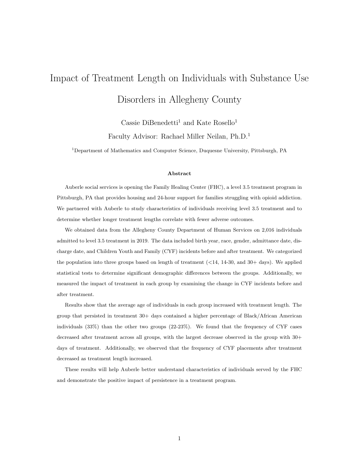# Impact of Treatment Length on Individuals with Substance Use Disorders in Allegheny County

Cassie DiBenedetti<sup>1</sup> and Kate Rosello<sup>1</sup> Faculty Advisor: Rachael Miller Neilan, Ph.D.<sup>1</sup>

<sup>1</sup>Department of Mathematics and Computer Science, Duquesne University, Pittsburgh, PA

#### Abstract

Auberle social services is opening the Family Healing Center (FHC), a level 3.5 treatment program in Pittsburgh, PA that provides housing and 24-hour support for families struggling with opioid addiction. We partnered with Auberle to study characteristics of individuals receiving level 3.5 treatment and to determine whether longer treatment lengths correlate with fewer adverse outcomes.

We obtained data from the Allegheny County Department of Human Services on 2,016 individuals admitted to level 3.5 treatment in 2019. The data included birth year, race, gender, admittance date, discharge date, and Children Youth and Family (CYF) incidents before and after treatment. We categorized the population into three groups based on length of treatment  $($  <14, 14-30, and 30+ days). We applied statistical tests to determine significant demographic differences between the groups. Additionally, we measured the impact of treatment in each group by examining the change in CYF incidents before and after treatment.

Results show that the average age of individuals in each group increased with treatment length. The group that persisted in treatment 30+ days contained a higher percentage of Black/African American individuals (33%) than the other two groups (22-23%). We found that the frequency of CYF cases decreased after treatment across all groups, with the largest decrease observed in the group with 30+ days of treatment. Additionally, we observed that the frequency of CYF placements after treatment decreased as treatment length increased.

These results will help Auberle better understand characteristics of individuals served by the FHC and demonstrate the positive impact of persistence in a treatment program.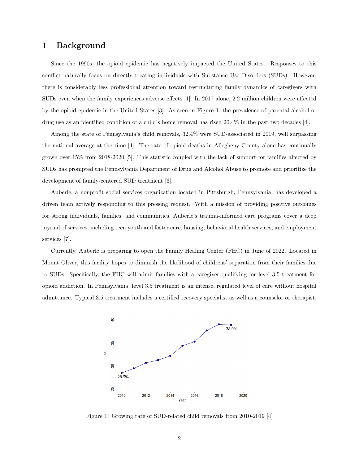#### 1 Background

Since the 1990s, the opioid epidemic has negatively impacted the United States. Responses to this conflict naturally focus on directly treating individuals with Substance Use Disorders (SUDs). However, there is considerably less professional attention toward restructuring family dynamics of caregivers with SUDs even when the family experiences adverse effects [1]. In 2017 alone, 2.2 million children were affected by the opioid epidemic in the United States [3]. As seen in Figure 1, the prevalence of parental alcohol or drug use as an identified condition of a child's home removal has risen 20.4% in the past two decades [4].

Among the state of Pennsylvania's child removals, 32.4% were SUD-associated in 2019, well surpassing the national average at the time [4]. The rate of opioid deaths in Allegheny County alone has continually grown over 15% from 2018-2020 [5]. This statistic coupled with the lack of support for families affected by SUDs has prompted the Pennsylvania Department of Drug and Alcohol Abuse to promote and prioritize the development of family-centered SUD treatment [6].

Auberle, a nonprofit social services organization located in Pittsburgh, Pennsylvania, has developed a driven team actively responding to this pressing request. With a mission of providing positive outcomes for strong individuals, families, and communities, Auberle's trauma-informed care programs cover a deep myriad of services, including teen youth and foster care, housing, behavioral health services, and employment services [7].

Currently, Auberle is preparing to open the Family Healing Center (FHC) in June of 2022. Located in Mount Oliver, this facility hopes to diminish the likelihood of childrens' separation from their families due to SUDs. Specifically, the FHC will admit families with a caregiver qualifying for level 3.5 treatment for opioid addiction. In Pennsylvania, level 3.5 treatment is an intense, regulated level of care without hospital admittance. Typical 3.5 treatment includes a certified recovery specialist as well as a counselor or therapist.



Figure 1: Growing rate of SUD-related child removals from 2010-2019 [4]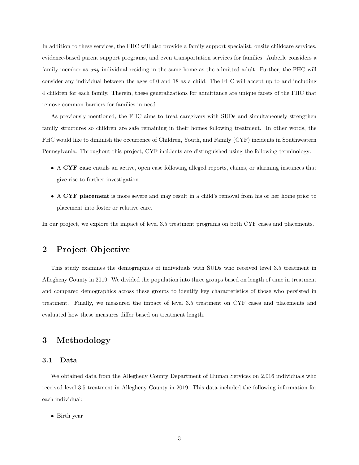In addition to these services, the FHC will also provide a family support specialist, onsite childcare services, evidence-based parent support programs, and even transportation services for families. Auberle considers a family member as *any* individual residing in the same home as the admitted adult. Further, the FHC will consider any individual between the ages of 0 and 18 as a child. The FHC will accept up to and including 4 children for each family. Therein, these generalizations for admittance are unique facets of the FHC that remove common barriers for families in need.

As previously mentioned, the FHC aims to treat caregivers with SUDs and simultaneously strengthen family structures so children are safe remaining in their homes following treatment. In other words, the FHC would like to diminish the occurrence of Children, Youth, and Family (CYF) incidents in Southwestern Pennsylvania. Throughout this project, CYF incidents are distinguished using the following terminology:

- A CYF case entails an active, open case following alleged reports, claims, or alarming instances that give rise to further investigation.
- A CYF placement is more severe and may result in a child's removal from his or her home prior to placement into foster or relative care.

In our project, we explore the impact of level 3.5 treatment programs on both CYF cases and placements.

# 2 Project Objective

This study examines the demographics of individuals with SUDs who received level 3.5 treatment in Allegheny County in 2019. We divided the population into three groups based on length of time in treatment and compared demographics across these groups to identify key characteristics of those who persisted in treatment. Finally, we measured the impact of level 3.5 treatment on CYF cases and placements and evaluated how these measures differ based on treatment length.

# 3 Methodology

#### 3.1 Data

We obtained data from the Allegheny County Department of Human Services on 2,016 individuals who received level 3.5 treatment in Allegheny County in 2019. This data included the following information for each individual:

• Birth year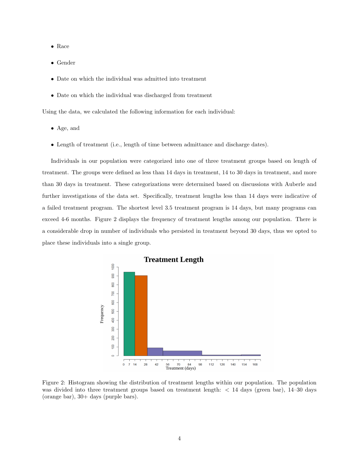- Race
- Gender
- Date on which the individual was admitted into treatment
- Date on which the individual was discharged from treatment

Using the data, we calculated the following information for each individual:

- Age, and
- Length of treatment (i.e., length of time between admittance and discharge dates).

Individuals in our population were categorized into one of three treatment groups based on length of treatment. The groups were defined as less than 14 days in treatment, 14 to 30 days in treatment, and more than 30 days in treatment. These categorizations were determined based on discussions with Auberle and further investigations of the data set. Specifically, treatment lengths less than 14 days were indicative of a failed treatment program. The shortest level 3.5 treatment program is 14 days, but many programs can exceed 4-6 months. Figure 2 displays the frequency of treatment lengths among our population. There is a considerable drop in number of individuals who persisted in treatment beyond 30 days, thus we opted to place these individuals into a single group.



Figure 2: Histogram showing the distribution of treatment lengths within our population. The population was divided into three treatment groups based on treatment length: < 14 days (green bar), 14–30 days (orange bar), 30+ days (purple bars).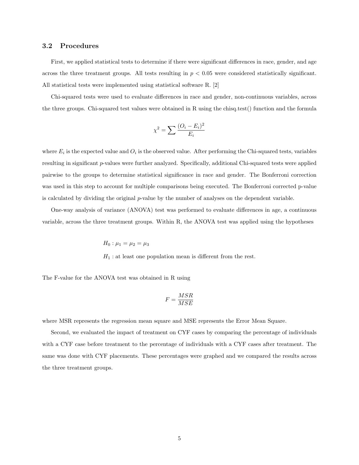#### 3.2 Procedures

First, we applied statistical tests to determine if there were significant differences in race, gender, and age across the three treatment groups. All tests resulting in  $p < 0.05$  were considered statistically significant. All statistical tests were implemented using statistical software R. [2]

Chi-squared tests were used to evaluate differences in race and gender, non-continuous variables, across the three groups. Chi-squared test values were obtained in R using the chisq.test() function and the formula

$$
\chi^2 = \sum \frac{(O_i - E_i)^2}{E_i}
$$

where  $E_i$  is the expected value and  $O_i$  is the observed value. After performing the Chi-squared tests, variables resulting in significant p-values were further analyzed. Specifically, additional Chi-squared tests were applied pairwise to the groups to determine statistical significance in race and gender. The Bonferroni correction was used in this step to account for multiple comparisons being executed. The Bonferroni corrected p-value is calculated by dividing the original  $p$ -value by the number of analyses on the dependent variable.

One-way analysis of variance (ANOVA) test was performed to evaluate differences in age, a continuous variable, across the three treatment groups. Within R, the ANOVA test was applied using the hypotheses

$$
H_0: \mu_1 = \mu_2 = \mu_3
$$
  
H<sub>1</sub>: at least one population mean is different from the rest.

The F-value for the ANOVA test was obtained in R using

$$
F=\frac{MSR}{MSE}
$$

where MSR represents the regression mean square and MSE represents the Error Mean Square.

Second, we evaluated the impact of treatment on CYF cases by comparing the percentage of individuals with a CYF case before treatment to the percentage of individuals with a CYF cases after treatment. The same was done with CYF placements. These percentages were graphed and we compared the results across the three treatment groups.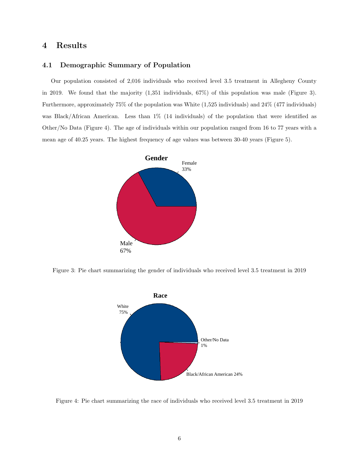# 4 Results

#### 4.1 Demographic Summary of Population

Our population consisted of 2,016 individuals who received level 3.5 treatment in Allegheny County in 2019. We found that the majority (1,351 individuals, 67%) of this population was male (Figure 3). Furthermore, approximately 75% of the population was White (1,525 individuals) and 24% (477 individuals) was Black/African American. Less than 1% (14 individuals) of the population that were identified as Other/No Data (Figure 4). The age of individuals within our population ranged from 16 to 77 years with a mean age of 40.25 years. The highest frequency of age values was between 30-40 years (Figure 5).



Figure 3: Pie chart summarizing the gender of individuals who received level 3.5 treatment in 2019



Figure 4: Pie chart summarizing the race of individuals who received level 3.5 treatment in 2019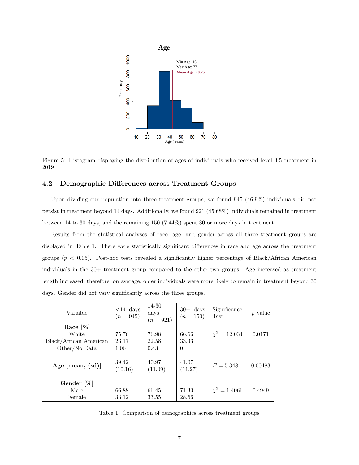

Figure 5: Histogram displaying the distribution of ages of individuals who received level 3.5 treatment in 2019

#### 4.2 Demographic Differences across Treatment Groups

Upon dividing our population into three treatment groups, we found 945 (46.9%) individuals did not persist in treatment beyond 14 days. Additionally, we found 921 (45.68%) individuals remained in treatment between 14 to 30 days, and the remaining 150 (7.44%) spent 30 or more days in treatment.

Results from the statistical analyses of race, age, and gender across all three treatment groups are displayed in Table 1. There were statistically significant differences in race and age across the treatment groups  $(p < 0.05)$ . Post-hoc tests revealed a significantly higher percentage of Black/African American individuals in the 30+ treatment group compared to the other two groups. Age increased as treatment length increased; therefore, on average, older individuals were more likely to remain in treatment beyond 30 days. Gender did not vary significantly across the three groups.

| Variable               | $<$ 14 days<br>$(n = 945)$ | 14-30<br>days<br>$(n = 921)$ | $30+$ days<br>$(n = 150)$ | Significance<br><b>Test</b> | <i>p</i> value |
|------------------------|----------------------------|------------------------------|---------------------------|-----------------------------|----------------|
| Race $[\%]$            |                            |                              |                           |                             |                |
| White                  | 75.76                      | 76.98                        | 66.66                     | $\chi^2 = 12.034$           | 0.0171         |
| Black/African American | 23.17                      | 22.58                        | 33.33                     |                             |                |
| Other/No Data          | 1.06                       | 0.43                         | $\Omega$                  |                             |                |
| Age [mean, $(sd)$ ]    | 39.42<br>(10.16)           | 40.97<br>(11.09)             | 41.07<br>(11.27)          | $F = 5.348$                 | 0.00483        |
| Gender [%]             |                            |                              |                           |                             |                |
| Male                   | 66.88                      | 66.45                        | 71.33                     | $\chi^2 = 1.4066$           | 0.4949         |
| Female                 | 33.12                      | 33.55                        | 28.66                     |                             |                |

Table 1: Comparison of demographics across treatment groups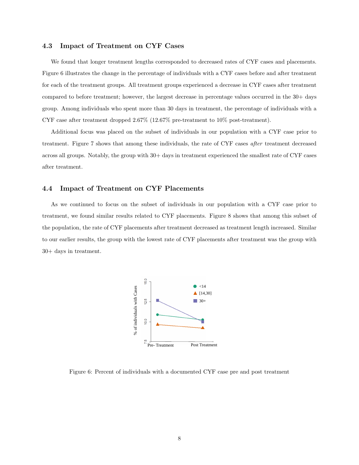#### 4.3 Impact of Treatment on CYF Cases

We found that longer treatment lengths corresponded to decreased rates of CYF cases and placements. Figure 6 illustrates the change in the percentage of individuals with a CYF cases before and after treatment for each of the treatment groups. All treatment groups experienced a decrease in CYF cases after treatment compared to before treatment; however, the largest decrease in percentage values occurred in the 30+ days group. Among individuals who spent more than 30 days in treatment, the percentage of individuals with a CYF case after treatment dropped 2.67% (12.67% pre-treatment to 10% post-treatment).

Additional focus was placed on the subset of individuals in our population with a CYF case prior to treatment. Figure 7 shows that among these individuals, the rate of CYF cases after treatment decreased across all groups. Notably, the group with 30+ days in treatment experienced the smallest rate of CYF cases after treatment.

#### 4.4 Impact of Treatment on CYF Placements

As we continued to focus on the subset of individuals in our population with a CYF case prior to treatment, we found similar results related to CYF placements. Figure 8 shows that among this subset of the population, the rate of CYF placements after treatment decreased as treatment length increased. Similar to our earlier results, the group with the lowest rate of CYF placements after treatment was the group with 30+ days in treatment.



Figure 6: Percent of individuals with a documented CYF case pre and post treatment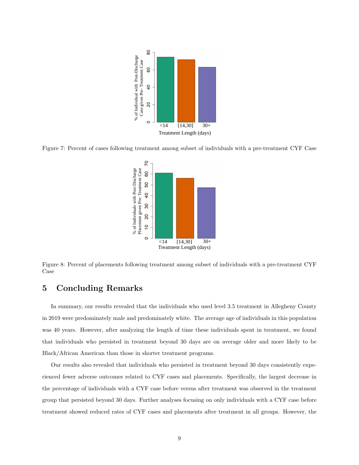

Figure 7: Percent of cases following treatment among subset of individuals with a pre-treatment CYF Case



Figure 8: Percent of placements following treatment among subset of individuals with a pre-treatment CYF Case

# 5 Concluding Remarks

In summary, our results revealed that the individuals who used level 3.5 treatment in Allegheny County in 2019 were predominately male and predominately white. The average age of individuals in this population was 40 years. However, after analyzing the length of time these individuals spent in treatment, we found that individuals who persisted in treatment beyond 30 days are on average older and more likely to be Black/African American than those in shorter treatment programs.

Our results also revealed that individuals who persisted in treatment beyond 30 days consistently experienced fewer adverse outcomes related to CYF cases and placements. Specifically, the largest decrease in the percentage of individuals with a CYF case before versus after treatment was observed in the treatment group that persisted beyond 30 days. Further analyses focusing on only individuals with a CYF case before treatment showed reduced rates of CYF cases and placements after treatment in all groups. However, the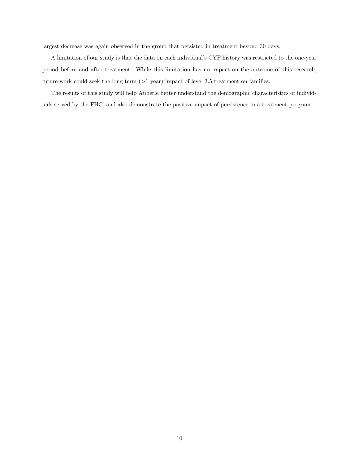largest decrease was again observed in the group that persisted in treatment beyond 30 days.

A limitation of our study is that the data on each individual's CYF history was restricted to the one-year period before and after treatment. While this limitation has no impact on the outcome of this research, future work could seek the long term  $(>1 \text{ year})$  impact of level 3.5 treatment on families.

The results of this study will help Auberle better understand the demographic characteristics of individuals served by the FHC, and also demonstrate the positive impact of persistence in a treatment program.